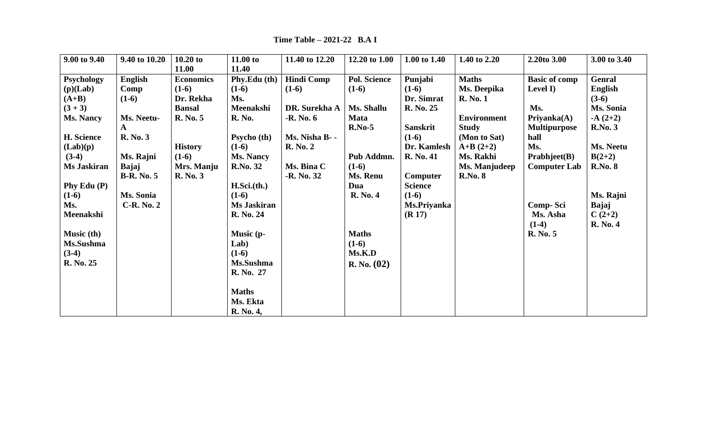| 9.00 to 9.40      | 9.40 to 10.20     | $10.20$ to       | 11.00 to           | 11.40 to 12.20    | 12.20 to 1.00       | 1.00 to 1.40     | 1.40 to 2.20       | 2.20to 3.00          | 3.00 to 3.40   |
|-------------------|-------------------|------------------|--------------------|-------------------|---------------------|------------------|--------------------|----------------------|----------------|
|                   |                   | 11.00            | 11.40              |                   |                     |                  |                    |                      |                |
| <b>Psychology</b> | English           | <b>Economics</b> | Phy.Edu (th)       | <b>Hindi Comp</b> | <b>Pol. Science</b> | Punjabi          | <b>Maths</b>       | <b>Basic of comp</b> | <b>Genral</b>  |
| (p)(Lab)          | Comp              | $(1-6)$          | $(1-6)$            | $(1-6)$           | $(1-6)$             | $(1-6)$          | Ms. Deepika        | Level I)             | English        |
| $(A+B)$           | $(1-6)$           | Dr. Rekha        | Ms.                |                   |                     | Dr. Simrat       | <b>R.</b> No. 1    |                      | $(3-6)$        |
| $(3 + 3)$         |                   | <b>Bansal</b>    | Meenakshi          | DR. Surekha A     | Ms. Shallu          | R. No. 25        |                    | Ms.                  | Ms. Sonia      |
| <b>Ms. Nancy</b>  | Ms. Neetu-        | R. No. 5         | <b>R. No.</b>      | -R. No. 6         | <b>Mata</b>         |                  | <b>Environment</b> | Priyanka(A)          | $-A(2+2)$      |
|                   | $\mathbf{A}$      |                  |                    |                   | $R.No-5$            | Sanskrit         | <b>Study</b>       | <b>Multipurpose</b>  | <b>R.No. 3</b> |
| H. Science        | <b>R.</b> No. 3   |                  | <b>Psycho</b> (th) | Ms. Nisha B--     |                     | $(1-6)$          | (Mon to Sat)       | hall                 |                |
| (Lab)(p)          |                   | <b>History</b>   | $(1-6)$            | <b>R.</b> No. 2   |                     | Dr. Kamlesh      | $A+B(2+2)$         | Ms.                  | Ms. Neetu      |
| $(3-4)$           | Ms. Rajni         | $(1-6)$          | <b>Ms. Nancy</b>   |                   | Pub Addmn.          | <b>R. No. 41</b> | Ms. Rakhi          | <b>Prabhjeet(B)</b>  | $B(2+2)$       |
| Ms Jaskiran       | Bajaj             | Mrs. Manju       | <b>R.No. 32</b>    | Ms. Bina C        | $(1-6)$             |                  | Ms. Manjudeep      | <b>Computer Lab</b>  | <b>R.No. 8</b> |
|                   | <b>B-R. No. 5</b> | <b>R. No. 3</b>  |                    | -R. No. 32        | Ms. Renu            | Computer         | <b>R.No. 8</b>     |                      |                |
| Phy Edu $(P)$     |                   |                  | H.Sci.(th.)        |                   | Dua                 | <b>Science</b>   |                    |                      |                |
| $(1-6)$           | Ms. Sonia         |                  | $(1-6)$            |                   | <b>R.</b> No. 4     | $(1-6)$          |                    |                      | Ms. Rajni      |
| Ms.               | $C-R. No. 2$      |                  | Ms Jaskiran        |                   |                     | Ms.Priyanka      |                    | Comp-Sci             | Bajaj          |
| Meenakshi         |                   |                  | R. No. 24          |                   |                     | (R 17)           |                    | Ms. Asha             | $C(2+2)$       |
|                   |                   |                  |                    |                   |                     |                  |                    | $(1-4)$              | R. No. 4       |
| Music (th)        |                   |                  | Music (p-          |                   | <b>Maths</b>        |                  |                    | R. No. 5             |                |
| Ms.Sushma         |                   |                  | Lab)               |                   | $(1-6)$             |                  |                    |                      |                |
| $(3-4)$           |                   |                  | $(1-6)$            |                   | Ms.K.D              |                  |                    |                      |                |
| R. No. 25         |                   |                  | Ms.Sushma          |                   | R. No. (02)         |                  |                    |                      |                |
|                   |                   |                  | R. No. 27          |                   |                     |                  |                    |                      |                |
|                   |                   |                  |                    |                   |                     |                  |                    |                      |                |
|                   |                   |                  | <b>Maths</b>       |                   |                     |                  |                    |                      |                |
|                   |                   |                  | Ms. Ekta           |                   |                     |                  |                    |                      |                |
|                   |                   |                  | R. No. 4,          |                   |                     |                  |                    |                      |                |

 **Time Table – 2021-22 B.A I**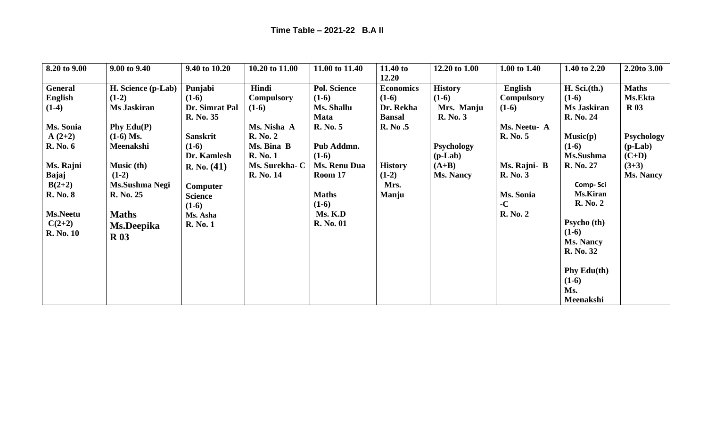| 8.20 to 9.00     | 9.00 to 9.40       | 9.40 to 10.20   | 10.20 to 11.00    | 11.00 to 11.40      | 11.40 to         | 12.20 to 1.00     | 1.00 to 1.40      | 1.40 to 2.20       | 2.20to 3.00      |
|------------------|--------------------|-----------------|-------------------|---------------------|------------------|-------------------|-------------------|--------------------|------------------|
|                  |                    |                 |                   |                     | 12.20            |                   |                   |                    |                  |
| General          | H. Science (p-Lab) | Punjabi         | Hindi             | <b>Pol. Science</b> | <b>Economics</b> | <b>History</b>    | English           | H. Sci.(th.)       | <b>Maths</b>     |
| English          | $(1-2)$            | $(1-6)$         | <b>Compulsory</b> | $(1-6)$             | $(1-6)$          | $(1-6)$           | <b>Compulsory</b> | $(1-6)$            | Ms.Ekta          |
| $(1-4)$          | Ms Jaskiran        | Dr. Simrat Pal  | $(1-6)$           | Ms. Shallu          | Dr. Rekha        | Mrs. Manju        | $(1-6)$           | <b>Ms Jaskiran</b> | R <sub>03</sub>  |
|                  |                    | R. No. 35       |                   | Mata                | <b>Bansal</b>    | <b>R.</b> No. 3   |                   | R. No. 24          |                  |
| Ms. Sonia        | Phy $Edu(P)$       |                 | Ms. Nisha A       | R. No. 5            | R. No.5          |                   | Ms. Neetu- A      |                    |                  |
| $A(2+2)$         | $(1-6)$ Ms.        | <b>Sanskrit</b> | <b>R. No. 2</b>   |                     |                  |                   | R. No. 5          | Music(p)           | Psychology       |
| <b>R.</b> No. 6  | Meenakshi          | $(1-6)$         | Ms. Bina B        | Pub Addmn.          |                  | <b>Psychology</b> |                   | $(1-6)$            | $(p-Lab)$        |
|                  |                    | Dr. Kamlesh     | <b>R. No. 1</b>   | $(1-6)$             |                  | $(p-Lab)$         |                   | Ms.Sushma          | $(C+D)$          |
| Ms. Rajni        | <b>Music (th)</b>  | R. No. (41)     | Ms. Surekha- C    | Ms. Renu Dua        | <b>History</b>   | $(A+B)$           | Ms. Rajni- B      | R. No. 27          | $(3+3)$          |
| Bajaj            | $(1-2)$            |                 | R. No. 14         | Room 17             | $(1-2)$          | <b>Ms. Nancy</b>  | <b>R.</b> No. 3   |                    | <b>Ms. Nancy</b> |
| $B(2+2)$         | Ms.Sushma Negi     | <b>Computer</b> |                   |                     | Mrs.             |                   |                   | Comp-Sci           |                  |
| <b>R. No. 8</b>  | R. No. 25          | <b>Science</b>  |                   | <b>Maths</b>        | Manju            |                   | Ms. Sonia         | <b>Ms.Kiran</b>    |                  |
|                  |                    | $(1-6)$         |                   | $(1-6)$             |                  |                   | $-C$              | <b>R.</b> No. 2    |                  |
| <b>Ms.Neetu</b>  | <b>Maths</b>       | Ms. Asha        |                   | Ms. K.D             |                  |                   | <b>R. No. 2</b>   |                    |                  |
| $C(2+2)$         | Ms.Deepika         | <b>R. No. 1</b> |                   | <b>R. No. 01</b>    |                  |                   |                   | Psycho (th)        |                  |
| <b>R. No. 10</b> | <b>R</b> 03        |                 |                   |                     |                  |                   |                   | $(1-6)$            |                  |
|                  |                    |                 |                   |                     |                  |                   |                   | <b>Ms. Nancy</b>   |                  |
|                  |                    |                 |                   |                     |                  |                   |                   | <b>R. No. 32</b>   |                  |
|                  |                    |                 |                   |                     |                  |                   |                   |                    |                  |
|                  |                    |                 |                   |                     |                  |                   |                   | Phy $Edu(th)$      |                  |
|                  |                    |                 |                   |                     |                  |                   |                   | $(1-6)$            |                  |
|                  |                    |                 |                   |                     |                  |                   |                   | Ms.                |                  |
|                  |                    |                 |                   |                     |                  |                   |                   | Meenakshi          |                  |